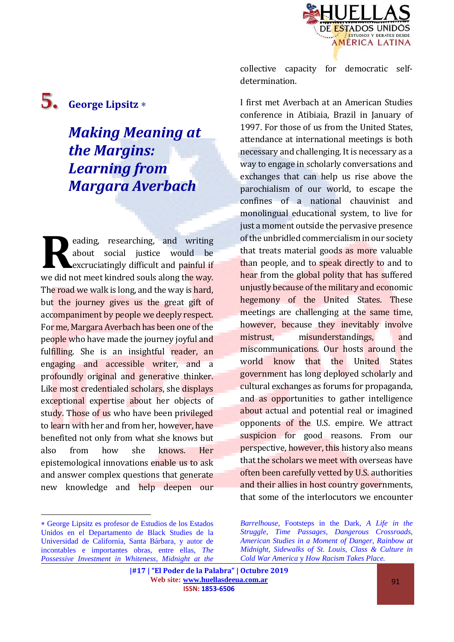

**5. George Lipsitz**

## *Making Meaning at the Margins: Learning from Margara Averbach*

eading, researching, and writing about social justice would be excruciatingly difficult and painful if we did not meet kindred souls along the way. The road we walk is long, and the way is hard. but the journey gives us the great gift of accompaniment by people we deeply respect. For me, Margara Averbach has been one of the people who have made the journey joyful and fulfilling. She is an insightful reader, an engaging and accessible writer, and a profoundly original and generative thinker. Like most credentialed scholars, she displays exceptional expertise about her objects of study. Those of us who have been privileged to learn with her and from her, however, have benefited not only from what she knows but also from how she knows. Her epistemological innovations enable us to ask and answer complex questions that generate new knowledge and help deepen our **R**

 $\overline{a}$ 

collective capacity for democratic selfdetermination.

I first met Averbach at an American Studies conference in Atibiaia, Brazil in January of 1997. For those of us from the United States, attendance at international meetings is both necessary and challenging. It is necessary as a way to engage in scholarly conversations and exchanges that can help us rise above the parochialism of our world, to escape the confines of a national chauvinist and monolingual educational system, to live for just a moment outside the pervasive presence of the unbridled commercialism in our society that treats material goods as more valuable than people, and to speak directly to and to hear from the global polity that has suffered unjustly because of the military and economic hegemony of the United States. These meetings are challenging at the same time, however, because they inevitably involve mistrust, misunderstandings, and miscommunications. Our hosts around the world know that the United States government has long deployed scholarly and cultural exchanges as forums for propaganda, and as opportunities to gather intelligence about actual and potential real or imagined opponents of the U.S. empire. We attract suspicion for good reasons. From our perspective, however, this history also means that the scholars we meet with overseas have often been carefully vetted by U.S. authorities and their allies in host country governments, that some of the interlocutors we encounter

George Lipsitz es profesor de Estudios de los Estados Unidos en el Departamento de Black Studies de la Universidad de California, Santa Bárbara, y autor de incontables e importantes obras, entre ellas, *The Possessive Investment in Whiteness*, *Midnight at the* 

*Barrelhouse*, Footsteps in the Dark, *A Life in the Struggle, Time Passages, Dangerous Crossroads, American Studies in a Moment of Danger, Rainbow at Midnight, Sidewalks of St. Louis, Class & Culture in Cold War America* y *How Racism Takes Place.* 

**<sup>|#17 | &</sup>quot;El Poder de la Palabra" | Octubre 2019 Web site: [www.huellasdeeua.com.ar](http://www.huellasdeeua.com.ar/) ISSN: 1853-6506**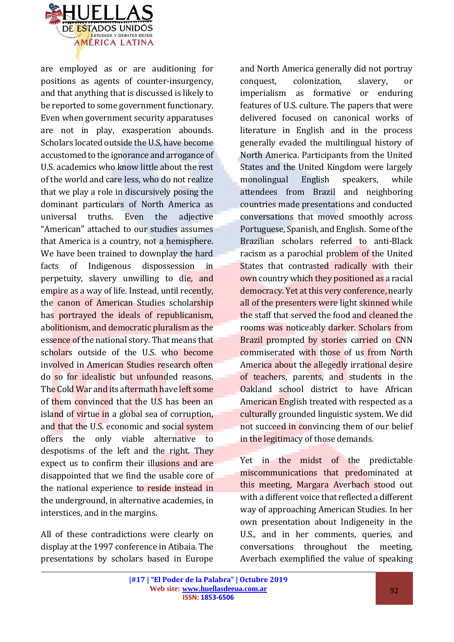

are employed as or are auditioning for positions as agents of counter-insurgency, and that anything that is discussed is likely to be reported to some government functionary. Even when government security apparatuses are not in play, exasperation abounds. Scholars located outside the U.S, have become accustomed to the ignorance and arrogance of U.S. academics who know little about the rest of the world and care less, who do not realize that we play a role in discursively posing the dominant particulars of North America as universal truths. Even the adjective "American" attached to our studies assumes that America is a country, not a hemisphere. We have been trained to downplay the hard facts of Indigenous dispossession in perpetuity, slavery unwilling to die, and empire as a way of life. Instead, until recently, the canon of American Studies scholarship has portrayed the ideals of republicanism, abolitionism, and democratic pluralism as the essence of the national story. That means that scholars outside of the U.S. who become involved in American Studies research often do so for idealistic but unfounded reasons. The Cold War and its aftermath have left some of them convinced that the U.S has been an island of virtue in a global sea of corruption, and that the U.S. economic and social system offers the only viable alternative to despotisms of the left and the right. They expect us to confirm their illusions and are disappointed that we find the usable core of the national experience to reside instead in the underground, in alternative academies, in interstices, and in the margins.

All of these contradictions were clearly on display at the 1997 conference in Atibaia. The presentations by scholars based in Europe

and North America generally did not portray conquest, colonization, slavery, or imperialism as formative or enduring features of U.S. culture. The papers that were delivered focused on canonical works of literature in English and in the process generally evaded the multilingual history of North America. Participants from the United States and the United Kingdom were largely monolingual English speakers, while attendees from Brazil and neighboring countries made presentations and conducted conversations that moved smoothly across Portuguese, Spanish, and English. Some of the Brazilian scholars referred to anti-Black racism as a parochial problem of the United States that contrasted radically with their own country which they positioned as a racial democracy. Yet at this very conference, nearly all of the presenters were light skinned while the staff that served the food and cleaned the rooms was noticeably darker. Scholars from Brazil prompted by stories carried on CNN commiserated with those of us from North America about the allegedly irrational desire of teachers, parents, and students in the Oakland school district to have African American English treated with respected as a culturally grounded linguistic system. We did not succeed in convincing them of our belief in the legitimacy of those demands.

Yet in the midst of the predictable miscommunications that predominated at this meeting, Margara Averbach stood out with a different voice that reflected a different way of approaching American Studies. In her own presentation about Indigeneity in the U.S., and in her comments, queries, and conversations throughout the meeting, Averbach exemplified the value of speaking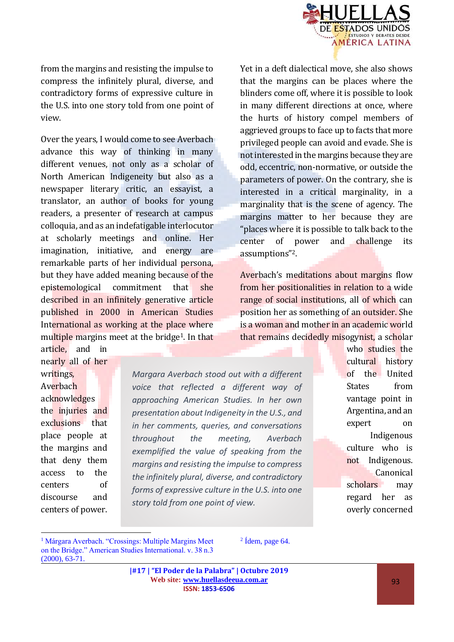

from the margins and resisting the impulse to compress the infinitely plural, diverse, and contradictory forms of expressive culture in the U.S. into one story told from one point of view.

Over the years, I would come to see Averbach advance this way of thinking in many different venues, not only as a scholar of North American Indigeneity but also as a newspaper literary critic, an essayist, a translator, an author of books for young readers, a presenter of research at campus colloquia, and as an indefatigable interlocutor at scholarly meetings and online. Her imagination, initiative, and energy are remarkable parts of her individual persona, but they have added meaning because of the epistemological commitment that she described in an infinitely generative article published in 2000 in American Studies International as working at the place where multiple margins meet at the bridge<sup>1</sup>. In that

article, and in nearly all of her

writings, Averbach acknowledges the injuries and exclusions that place people at the margins and that deny them access to the centers of discourse and centers of power.

 $\overline{a}$ 

*Margara Averbach stood out with a different voice that reflected a different way of approaching American Studies. In her own presentation about Indigeneity in the U.S., and in her comments, queries, and conversations throughout the meeting, Averbach exemplified the value of speaking from the margins and resisting the impulse to compress the infinitely plural, diverse, and contradictory forms of expressive culture in the U.S. into one story told from one point of view.*

Yet in a deft dialectical move, she also shows that the margins can be places where the blinders come off, where it is possible to look in many different directions at once, where the hurts of history compel members of aggrieved groups to face up to facts that more privileged people can avoid and evade. She is not interested in the margins because they are odd, eccentric, non-normative, or outside the parameters of power. On the contrary, she is interested in a critical marginality, in a marginality that is the scene of agency. The margins matter to her because they are "places where it is possible to talk back to the center of power and challenge its assumptions"2.

Averbach's meditations about margins flow from her positionalities in relation to a wide range of social institutions, all of which can position her as something of an outsider. She is a woman and mother in an academic world that remains decidedly misogynist, a scholar

> who studies the cultural history of the United States from vantage point in Argentina, and an expert on Indigenous culture who is not Indigenous. **Canonical** scholars may regard her as overly concerned

<sup>1</sup> Márgara Averbach. "Crossings: Multiple Margins Meet on the Bridge." American Studies International. v. 38 n.3 (2000), 63-71.

 $2$  Ídem, page 64.

**|#17 | "El Poder de la Palabra" | Octubre 2019 Web site: [www.huellasdeeua.com.ar](http://www.huellasdeeua.com.ar/) ISSN: 1853-6506**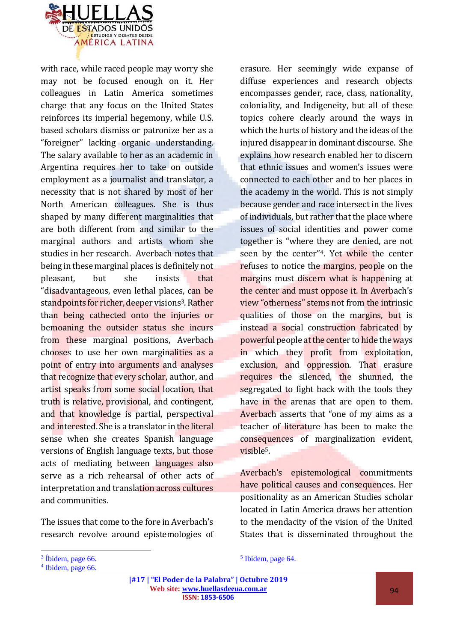

with race, while raced people may worry she may not be focused enough on it. Her colleagues in Latin America sometimes charge that any focus on the United States reinforces its imperial hegemony, while U.S. based scholars dismiss or patronize her as a "foreigner" lacking organic understanding. The salary available to her as an academic in Argentina requires her to take on outside employment as a journalist and translator, a necessity that is not shared by most of her North American colleagues. She is thus shaped by many different marginalities that are both different from and similar to the marginal authors and artists whom she studies in her research. Averbach notes that being in these marginal places is definitely not pleasant, but she insists that "disadvantageous, even lethal places, can be standpoints for richer, deeper visions<sup>3</sup>. Rather than being cathected onto the injuries or bemoaning the outsider status she incurs from these marginal positions, Averbach chooses to use her own marginalities as a point of entry into arguments and analyses that recognize that every scholar, author, and artist speaks from some social location, that truth is relative, provisional, and contingent, and that knowledge is partial, perspectival and interested. She is a translator in the literal sense when she creates Spanish language versions of English language texts, but those acts of mediating between languages also serve as a rich rehearsal of other acts of interpretation and translation across cultures and communities.

The issues that come to the fore in Averbach's research revolve around epistemologies of

<sup>3</sup> Íbidem, page 66.

 $\overline{a}$ 

erasure. Her seemingly wide expanse of diffuse experiences and research objects encompasses gender, race, class, nationality, coloniality, and Indigeneity, but all of these topics cohere clearly around the ways in which the hurts of history and the ideas of the injured disappear in dominant discourse. She explains how research enabled her to discern that ethnic issues and women's issues were connected to each other and to her places in the academy in the world. This is not simply because gender and race intersect in the lives of individuals, but rather that the place where issues of social identities and power come together is "where they are denied, are not seen by the center<sup>"4</sup>. Yet while the center refuses to notice the margins, people on the margins must discern what is happening at the center and must oppose it. In Averbach's view "otherness" stems not from the intrinsic qualities of those on the margins, but is instead a social construction fabricated by powerful people at the center to hide the ways in which they profit from exploitation, exclusion, and oppression. That erasure requires the silenced, the shunned, the segregated to fight back with the tools they have in the arenas that are open to them. Averbach asserts that "one of my aims as a teacher of literature has been to make the consequences of marginalization evident, visible5.

Averbach's epistemological commitments have political causes and consequences. Her positionality as an American Studies scholar located in Latin America draws her attention to the mendacity of the vision of the United States that is disseminated throughout the

5 Ibidem, page 64.

**|#17 | "El Poder de la Palabra" | Octubre 2019 Web site: [www.huellasdeeua.com.ar](http://www.huellasdeeua.com.ar/) ISSN: 1853-6506** 

<sup>4</sup> Ibidem, page 66.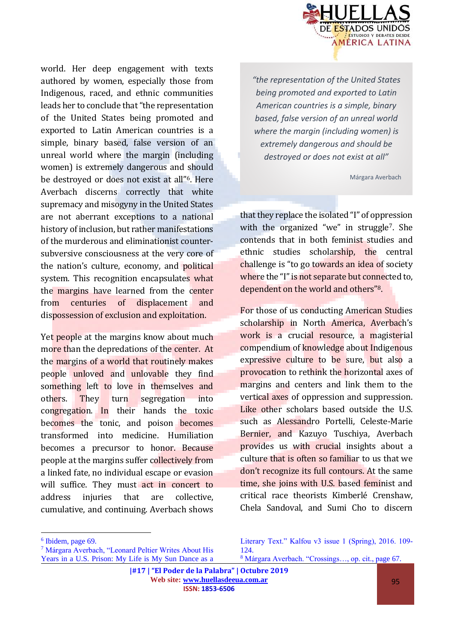

*"the representation of the United States being promoted and exported to Latin American countries is a simple, binary based, false version of an unreal world where the margin (including women) is extremely dangerous and should be destroyed or does not exist at all"*

Márgara Averbach

that they replace the isolated "I" of oppression with the organized "we" in struggle<sup>7</sup>. She contends that in both feminist studies and ethnic studies scholarship, the central challenge is "to go towards an idea of society where the "I" is not separate but connected to, dependent on the world and others"8.

For those of us conducting American Studies scholarship in North America, Averbach's work is a crucial resource, a magisterial compendium of knowledge about Indigenous expressive culture to be sure, but also a provocation to rethink the horizontal axes of margins and centers and link them to the vertical axes of oppression and suppression. Like other scholars based outside the U.S. such as Alessandro Portelli, Celeste-Marie Bernier, and Kazuyo Tuschiya, Averbach provides us with crucial insights about a culture that is often so familiar to us that we don't recognize its full contours. At the same time, she joins with U.S. based feminist and critical race theorists Kimberlé Crenshaw, Chela Sandoval, and Sumi Cho to discern

world. Her deep engagement with texts authored by women, especially those from Indigenous, raced, and ethnic communities leads her to conclude that "the representation of the United States being promoted and exported to Latin American countries is a simple, binary based, false version of an unreal world where the margin (including women) is extremely dangerous and should be destroyed or does not exist at all"6. Here Averbach discerns correctly that white supremacy and misogyny in the United States are not aberrant exceptions to a national history of inclusion, but rather manifestations of the murderous and eliminationist countersubversive consciousness at the very core of the nation's culture, economy, and political system. This recognition encapsulates what the margins have learned from the center from centuries of displacement and dispossession of exclusion and exploitation.

Yet people at the margins know about much more than the depredations of the center. At the margins of a world that routinely makes people unloved and unlovable they find something left to love in themselves and others. They turn segregation into congregation. In their hands the toxic becomes the tonic, and poison becomes transformed into medicine. Humiliation becomes a precursor to honor. Because people at the margins suffer collectively from a linked fate, no individual escape or evasion will suffice. They must act in concert to address injuries that are collective, cumulative, and continuing. Averbach shows

 $\overline{a}$ 

<sup>6</sup> Ibidem, page 69.

<sup>7</sup> Márgara Averbach, "Leonard Peltier Writes About His Years in a U.S. Prison: My Life is My Sun Dance as a

Literary Text." Kalfou v3 issue 1 (Spring), 2016. 109- 124. <sup>8</sup> Márgara Averbach. "Crossings…, op. cit., page 67.

**<sup>|#17 | &</sup>quot;El Poder de la Palabra" | Octubre 2019 Web site: [www.huellasdeeua.com.ar](http://www.huellasdeeua.com.ar/)**

**ISSN: 1853-6506**